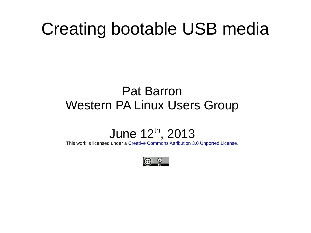#### Creating bootable USB media

#### Pat Barron Western PA Linux Users Group

#### June 12th, 2013

This work is licensed under a [Creative Commons Attribution 3.0 Unported License](http://creativecommons.org/licenses/by/3.0/deed.en_US).

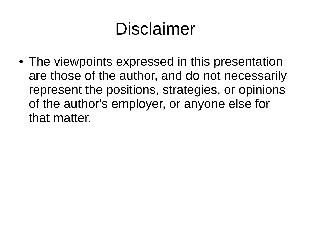# Disclaimer

• The viewpoints expressed in this presentation are those of the author, and do not necessarily represent the positions, strategies, or opinions of the author's employer, or anyone else for that matter.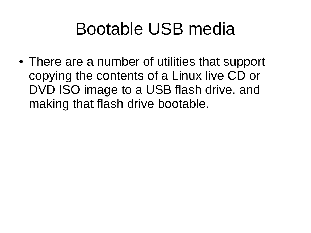#### Bootable USB media

• There are a number of utilities that support copying the contents of a Linux live CD or DVD ISO image to a USB flash drive, and making that flash drive bootable.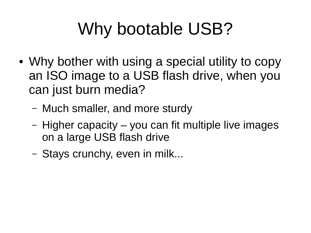# Why bootable USB?

- Why bother with using a special utility to copy an ISO image to a USB flash drive, when you can just burn media?
	- Much smaller, and more sturdy
	- Higher capacity you can fit multiple live images on a large USB flash drive
	- Stays crunchy, even in milk...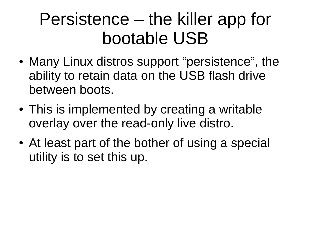### Persistence – the killer app for bootable USB

- Many Linux distros support "persistence", the ability to retain data on the USB flash drive between boots.
- This is implemented by creating a writable overlay over the read-only live distro.
- At least part of the bother of using a special utility is to set this up.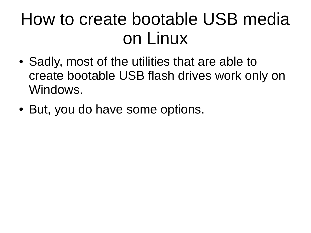### How to create bootable USB media on Linux

- Sadly, most of the utilities that are able to create bootable USB flash drives work only on Windows.
- But, you do have some options.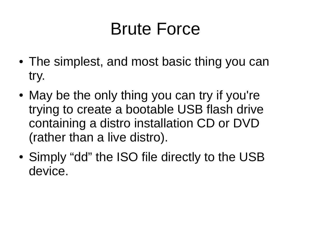#### Brute Force

- The simplest, and most basic thing you can try.
- May be the only thing you can try if you're trying to create a bootable USB flash drive containing a distro installation CD or DVD (rather than a live distro).
- Simply "dd" the ISO file directly to the USB device.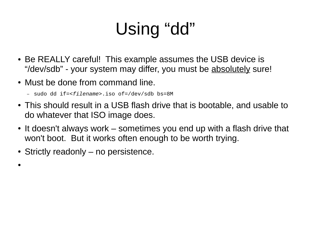# Using "dd"

- Be REALLY careful! This example assumes the USB device is "/dev/sdb" - your system may differ, you must be absolutely sure!
- Must be done from command line.
	- sudo dd if=*<filename>*.iso of=/dev/sdb bs=8M
- This should result in a USB flash drive that is bootable, and usable to do whatever that ISO image does.
- It doesn't always work sometimes you end up with a flash drive that won't boot. But it works often enough to be worth trying.
- Strictly readonly no persistence.
- ●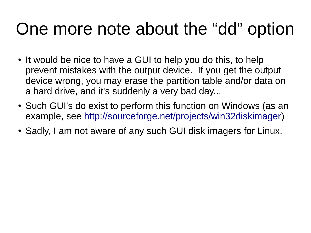#### One more note about the "dd" option

- It would be nice to have a GUI to help you do this, to help prevent mistakes with the output device. If you get the output device wrong, you may erase the partition table and/or data on a hard drive, and it's suddenly a very bad day...
- Such GUI's do exist to perform this function on Windows (as an example, see <http://sourceforge.net/projects/win32diskimager>)
- Sadly, I am not aware of any such GUI disk imagers for Linux.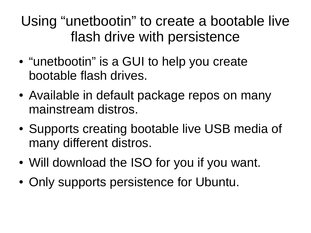Using "unetbootin" to create a bootable live flash drive with persistence

- "unetbootin" is a GUI to help you create bootable flash drives.
- Available in default package repos on many mainstream distros.
- Supports creating bootable live USB media of many different distros.
- Will download the ISO for you if you want.
- Only supports persistence for Ubuntu.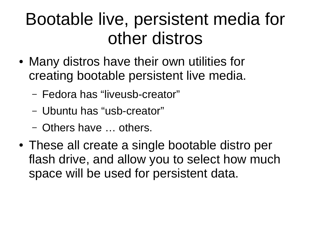### Bootable live, persistent media for other distros

- Many distros have their own utilities for creating bootable persistent live media.
	- Fedora has "liveusb-creator"
	- Ubuntu has "usb-creator"
	- Others have … others.
- These all create a single bootable distro per flash drive, and allow you to select how much space will be used for persistent data.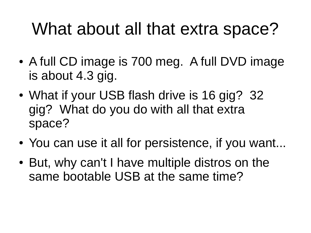#### What about all that extra space?

- A full CD image is 700 meg. A full DVD image is about 4.3 gig.
- What if your USB flash drive is 16 gig? 32 gig? What do you do with all that extra space?
- You can use it all for persistence, if you want...
- But, why can't I have multiple distros on the same bootable USB at the same time?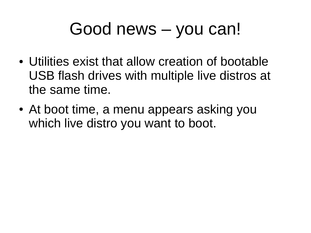#### Good news – you can!

- Utilities exist that allow creation of bootable USB flash drives with multiple live distros at the same time.
- At boot time, a menu appears asking you which live distro you want to boot.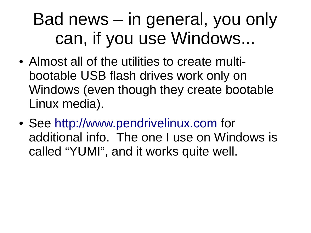## Bad news – in general, you only can, if you use Windows...

- Almost all of the utilities to create multibootable USB flash drives work only on Windows (even though they create bootable Linux media).
- See [http://www.pendrivelinux.com](http://www.pendrivelinux.com/) for additional info. The one I use on Windows is called "YUMI", and it works quite well.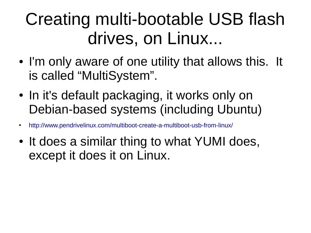# Creating multi-bootable USB flash drives, on Linux...

- I'm only aware of one utility that allows this. It is called "MultiSystem".
- In it's default packaging, it works only on Debian-based systems (including Ubuntu)
- <http://www.pendrivelinux.com/multiboot-create-a-multiboot-usb-from-linux/>
- It does a similar thing to what YUMI does, except it does it on Linux.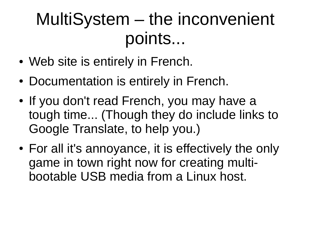## MultiSystem – the inconvenient points...

- Web site is entirely in French.
- Documentation is entirely in French.
- If you don't read French, you may have a tough time... (Though they do include links to Google Translate, to help you.)
- For all it's annoyance, it is effectively the only game in town right now for creating multibootable USB media from a Linux host.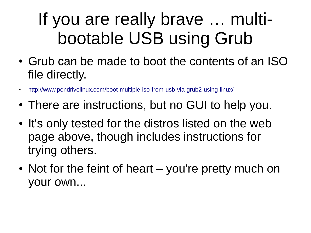# If you are really brave … multibootable USB using Grub

- Grub can be made to boot the contents of an ISO file directly.
- <http://www.pendrivelinux.com/boot-multiple-iso-from-usb-via-grub2-using-linux/>
- There are instructions, but no GUI to help you.
- It's only tested for the distros listed on the web page above, though includes instructions for trying others.
- Not for the feint of heart you're pretty much on your own...